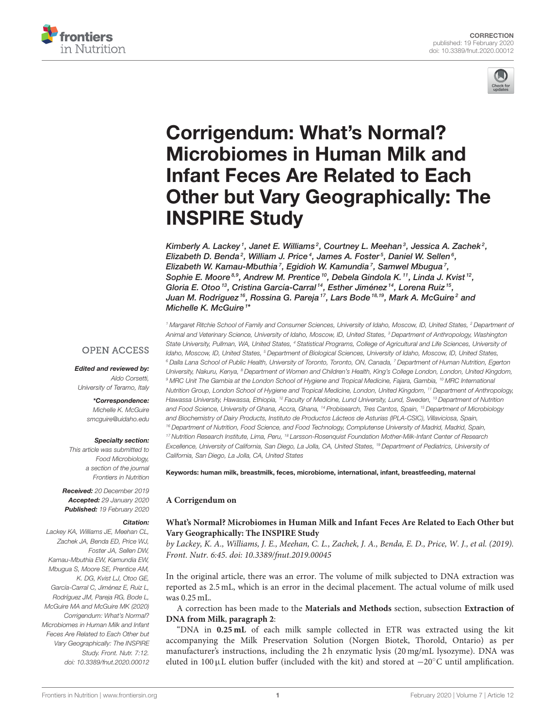



# Corrigendum: What's Normal? Microbiomes in Human Milk and Infant Feces Are Related to Each [Other but Vary Geographically: The](https://www.frontiersin.org/articles/10.3389/fnut.2020.00012/full) INSPIRE Study

[Kimberly A. Lackey](http://loop.frontiersin.org/people/659717/overview)', [Janet E. Williams](http://loop.frontiersin.org/people/203857/overview)<sup>2</sup>, [Courtney L. Meehan](http://loop.frontiersin.org/people/433813/overview)<sup>3</sup>, Jessica A. Zachek<sup>2</sup>, Elizabeth D. Benda<sup>2</sup>, William J. Price<sup>4</sup>, [James A. Foster](http://loop.frontiersin.org/people/661973/overview)<sup>5</sup>, Daniel W. Sellen<sup>6</sup>, [Elizabeth W. Kamau-Mbuthia](http://loop.frontiersin.org/people/428514/overview)<sup>7</sup>, [Egidioh W. Kamundia](http://loop.frontiersin.org/people/445058/overview)<sup>7</sup>, [Samwel Mbugua](http://loop.frontiersin.org/people/428781/overview)<sup>7</sup>, Sophie E. Moore ${}^{8.9}$ , Andrew M. Prentice  ${}^{10}$ , Debela Gindola K.  ${}^{11}$ , [Linda J. Kvist](http://loop.frontiersin.org/people/428169/overview)  ${}^{12}$ , Gloria E. Otoo <sup>13</sup>, [Cristina García-Carral](http://loop.frontiersin.org/people/428208/overview) <sup>14</sup>, [Esther Jiménez](http://loop.frontiersin.org/people/402918/overview) <sup>14</sup>, [Lorena Ruiz](http://loop.frontiersin.org/people/190038/overview) <sup>15</sup>, [Juan M. Rodríguez](http://loop.frontiersin.org/people/455681/overview)<sup>16</sup>, [Rossina G. Pareja](http://loop.frontiersin.org/people/715145/overview)<sup>17</sup>, [Lars Bode](http://loop.frontiersin.org/people/440750/overview)<sup>18,19</sup>, [Mark A. McGuire](http://loop.frontiersin.org/people/522138/overview)<sup>2</sup> and [Michelle K. McGuire](http://loop.frontiersin.org/people/427995/overview) <sup>1</sup>\*

# **OPEN ACCESS**

# Edited and reviewed by:

Aldo Corsetti, University of Teramo, Italy

> \*Correspondence: Michelle K. McGuire [smcguire@uidaho.edu](mailto:smcguire@uidaho.edu)

#### Specialty section:

This article was submitted to Food Microbiology, a section of the journal Frontiers in Nutrition

Received: 20 December 2019 Accepted: 29 January 2020 Published: 19 February 2020

## Citation:

Lackey KA, Williams JE, Meehan CL, Zachek JA, Benda ED, Price WJ, Foster JA, Sellen DW, Kamau-Mbuthia EW, Kamundia EW, Mbugua S, Moore SE, Prentice AM, K. DG, Kvist LJ, Otoo GE, García-Carral C, Jiménez E, Ruiz L, Rodríguez JM, Pareja RG, Bode L, McGuire MA and McGuire MK (2020) Corrigendum: What's Normal? Microbiomes in Human Milk and Infant Feces Are Related to Each Other but Vary Geographically: The INSPIRE Study. Front. Nutr. 7:12. doi: [10.3389/fnut.2020.00012](https://doi.org/10.3389/fnut.2020.00012)

<sup>1</sup> Margaret Ritchie School of Family and Consumer Sciences, University of Idaho, Moscow, ID, United States, <sup>2</sup> Department of Animal and Veterinary Science, University of Idaho, Moscow, ID, United States, <sup>3</sup> Department of Anthropology, Washington State University, Pullman, WA, United States, <sup>4</sup> Statistical Programs, College of Agricultural and Life Sciences, University of Idaho, Moscow, ID, United States, <sup>5</sup> Department of Biological Sciences, University of Idaho, Moscow, ID, United States, <sup>6</sup> Dalla Lana School of Public Health, University of Toronto, Toronto, ON, Canada, <sup>7</sup> Department of Human Nutrition, Egerton University, Nakuru, Kenya, <sup>8</sup> Department of Women and Children's Health, King's College London, London, United Kingdom, <sup>9</sup> MRC Unit The Gambia at the London School of Hygiene and Tropical Medicine, Fajara, Gambia, <sup>10</sup> MRC International Nutrition Group, London School of Hygiene and Tropical Medicine, London, United Kingdom, <sup>11</sup> Department of Anthropology, Hawassa University, Hawassa, Ethiopia, <sup>12</sup> Faculty of Medicine, Lund University, Lund, Sweden, <sup>13</sup> Department of Nutrition and Food Science, University of Ghana, Accra, Ghana, <sup>14</sup> Probisearch, Tres Cantos, Spain, <sup>15</sup> Department of Microbiology and Biochemistry of Dairy Products, Instituto de Productos Lácteos de Asturias (IPLA-CSIC), Villaviciosa, Spain, <sup>16</sup> Department of Nutrition, Food Science, and Food Technology, Complutense University of Madrid, Madrid, Spain, <sup>17</sup> Nutrition Research Institute, Lima, Peru, <sup>18</sup> Larsson-Rosenquist Foundation Mother-Milk-Infant Center of Research Excellence, University of California, San Diego, La Jolla, CA, United States, <sup>19</sup> Department of Pediatrics, University of California, San Diego, La Jolla, CA, United States

Keywords: human milk, breastmilk, feces, microbiome, international, infant, breastfeeding, maternal

## **A Corrigendum on**

## **[What's Normal? Microbiomes in Human Milk and Infant Feces Are Related to Each Other but](https://doi.org/10.3389/fnut.2019.00045) Vary Geographically: The INSPIRE Study**

by Lackey, K. A., Williams, J. E., Meehan, C. L., Zachek, J. A., Benda, E. D., Price, W. J., et al. (2019). Front. Nutr. 6:45. doi: [10.3389/fnut.2019.00045](https://doi.org/10.3389/fnut.2019.00045)

In the original article, there was an error. The volume of milk subjected to DNA extraction was reported as 2.5 mL, which is an error in the decimal placement. The actual volume of milk used was 0.25 mL.

A correction has been made to the **Materials and Methods** section, subsection **Extraction of DNA from Milk**, **paragraph 2**:

"DNA in **0.25 mL** of each milk sample collected in ETR was extracted using the kit accompanying the Milk Preservation Solution (Norgen Biotek, Thorold, Ontario) as per manufacturer's instructions, including the 2 h enzymatic lysis (20 mg/mL lysozyme). DNA was eluted in 100µL elution buffer (included with the kit) and stored at  $-20$ <sup>°</sup>C until amplification.